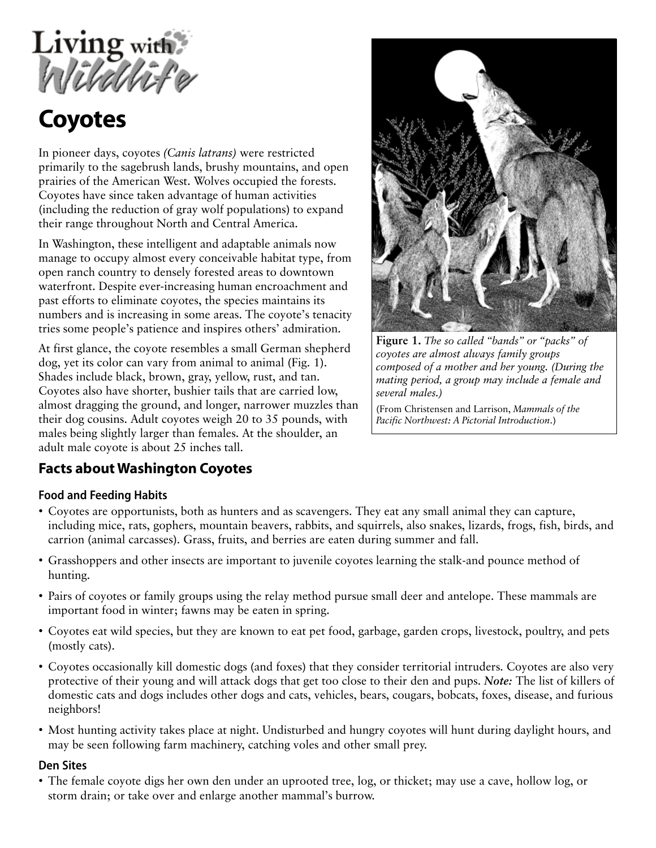

# **Coyotes**

In pioneer days, coyotes *(Canis latrans)* were restricted primarily to the sagebrush lands, brushy mountains, and open prairies of the American West. Wolves occupied the forests. Coyotes have since taken advantage of human activities (including the reduction of gray wolf populations) to expand their range throughout North and Central America.

In Washington, these intelligent and adaptable animals now manage to occupy almost every conceivable habitat type, from open ranch country to densely forested areas to downtown waterfront. Despite ever-increasing human encroachment and past efforts to eliminate coyotes, the species maintains its numbers and is increasing in some areas. The coyote's tenacity tries some people's patience and inspires others' admiration.

At first glance, the coyote resembles a small German shepherd dog, yet its color can vary from animal to animal (Fig. 1). Shades include black, brown, gray, yellow, rust, and tan. Coyotes also have shorter, bushier tails that are carried low, almost dragging the ground, and longer, narrower muzzles than their dog cousins. Adult coyotes weigh 20 to 35 pounds, with males being slightly larger than females. At the shoulder, an adult male coyote is about 25 inches tall.



**Figure 1.** *The so called "bands" or "packs" of coyotes are almost always family groups composed of a mother and her young. (During the mating period, a group may include a female and several males.)*

(From Christensen and Larrison, *Mammals of the Pacific Northwest: A Pictorial Introduction*.)

## **Facts about Washington Coyotes**

#### **Food and Feeding Habits**

- Coyotes are opportunists, both as hunters and as scavengers. They eat any small animal they can capture, including mice, rats, gophers, mountain beavers, rabbits, and squirrels, also snakes, lizards, frogs, fish, birds, and carrion (animal carcasses). Grass, fruits, and berries are eaten during summer and fall.
- Grasshoppers and other insects are important to juvenile coyotes learning the stalk-and pounce method of hunting.
- Pairs of coyotes or family groups using the relay method pursue small deer and antelope. These mammals are important food in winter; fawns may be eaten in spring.
- Coyotes eat wild species, but they are known to eat pet food, garbage, garden crops, livestock, poultry, and pets (mostly cats).
- Coyotes occasionally kill domestic dogs (and foxes) that they consider territorial intruders. Coyotes are also very protective of their young and will attack dogs that get too close to their den and pups. *Note:* The list of killers of domestic cats and dogs includes other dogs and cats, vehicles, bears, cougars, bobcats, foxes, disease, and furious neighbors!
- Most hunting activity takes place at night. Undisturbed and hungry coyotes will hunt during daylight hours, and may be seen following farm machinery, catching voles and other small prey.

#### **Den Sites**

• The female coyote digs her own den under an uprooted tree, log, or thicket; may use a cave, hollow log, or storm drain; or take over and enlarge another mammal's burrow.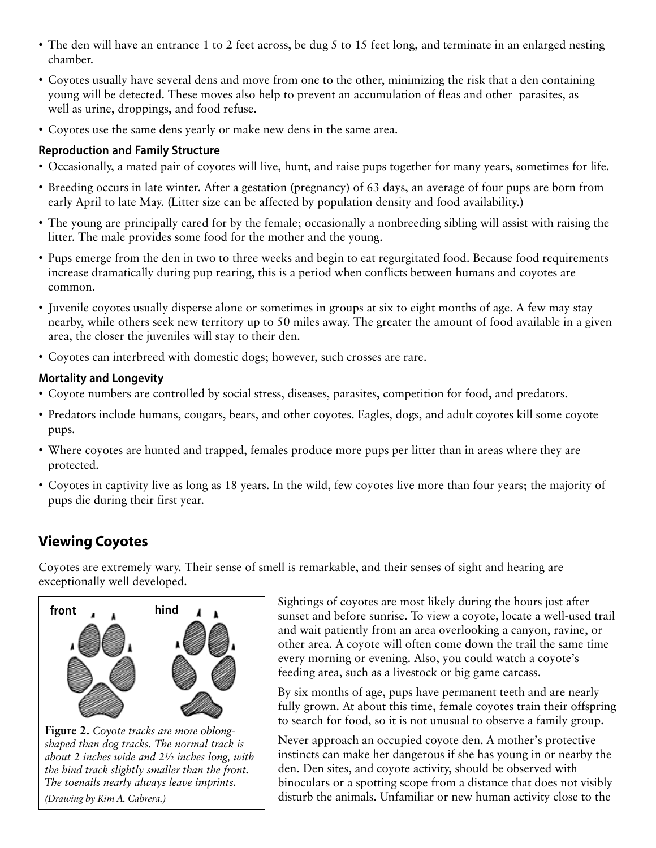- The den will have an entrance 1 to 2 feet across, be dug 5 to 15 feet long, and terminate in an enlarged nesting chamber.
- Coyotes usually have several dens and move from one to the other, minimizing the risk that a den containing young will be detected. These moves also help to prevent an accumulation of fleas and other parasites, as well as urine, droppings, and food refuse.
- Coyotes use the same dens yearly or make new dens in the same area.

#### **Reproduction and Family Structure**

- Occasionally, a mated pair of coyotes will live, hunt, and raise pups together for many years, sometimes for life.
- Breeding occurs in late winter. After a gestation (pregnancy) of 63 days, an average of four pups are born from early April to late May. (Litter size can be affected by population density and food availability.)
- The young are principally cared for by the female; occasionally a nonbreeding sibling will assist with raising the litter. The male provides some food for the mother and the young.
- Pups emerge from the den in two to three weeks and begin to eat regurgitated food. Because food requirements increase dramatically during pup rearing, this is a period when conflicts between humans and coyotes are common.
- Juvenile coyotes usually disperse alone or sometimes in groups at six to eight months of age. A few may stay nearby, while others seek new territory up to 50 miles away. The greater the amount of food available in a given area, the closer the juveniles will stay to their den.
- Coyotes can interbreed with domestic dogs; however, such crosses are rare.

#### **Mortality and Longevity**

- Coyote numbers are controlled by social stress, diseases, parasites, competition for food, and predators.
- Predators include humans, cougars, bears, and other coyotes. Eagles, dogs, and adult coyotes kill some coyote pups.
- Where coyotes are hunted and trapped, females produce more pups per litter than in areas where they are protected.
- Coyotes in captivity live as long as 18 years. In the wild, few coyotes live more than four years; the majority of pups die during their first year.

## **Viewing Coyotes**

Coyotes are extremely wary. Their sense of smell is remarkable, and their senses of sight and hearing are exceptionally well developed.



**Figure 2.** *Coyote tracks are more oblongshaped than dog tracks. The normal track is about 2 inches wide and 2½ inches long, with the hind track slightly smaller than the front. The toenails nearly always leave imprints. (Drawing by Kim A. Cabrera.)*

Sightings of coyotes are most likely during the hours just after sunset and before sunrise. To view a coyote, locate a well-used trail and wait patiently from an area overlooking a canyon, ravine, or other area. A coyote will often come down the trail the same time every morning or evening. Also, you could watch a coyote's feeding area, such as a livestock or big game carcass.

By six months of age, pups have permanent teeth and are nearly fully grown. At about this time, female coyotes train their offspring to search for food, so it is not unusual to observe a family group.

Never approach an occupied coyote den. A mother's protective instincts can make her dangerous if she has young in or nearby the den. Den sites, and coyote activity, should be observed with binoculars or a spotting scope from a distance that does not visibly disturb the animals. Unfamiliar or new human activity close to the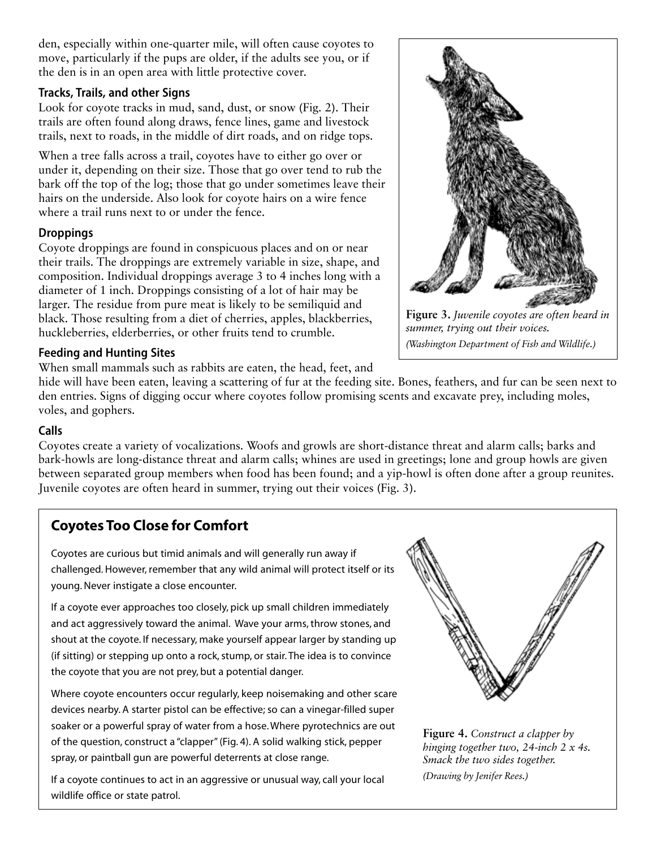den, especially within one-quarter mile, will often cause coyotes to move, particularly if the pups are older, if the adults see you, or if the den is in an open area with little protective cover.

#### **Tracks, Trails, and other Signs**

Look for coyote tracks in mud, sand, dust, or snow (Fig. 2). Their trails are often found along draws, fence lines, game and livestock trails, next to roads, in the middle of dirt roads, and on ridge tops.

When a tree falls across a trail, coyotes have to either go over or under it, depending on their size. Those that go over tend to rub the bark off the top of the log; those that go under sometimes leave their hairs on the underside. Also look for coyote hairs on a wire fence where a trail runs next to or under the fence.

#### **Droppings**

Coyote droppings are found in conspicuous places and on or near their trails. The droppings are extremely variable in size, shape, and composition. Individual droppings average 3 to 4 inches long with a diameter of 1 inch. Droppings consisting of a lot of hair may be larger. The residue from pure meat is likely to be semiliquid and black. Those resulting from a diet of cherries, apples, blackberries, huckleberries, elderberries, or other fruits tend to crumble.

#### **Feeding and Hunting Sites**

When small mammals such as rabbits are eaten, the head, feet, and

hide will have been eaten, leaving a scattering of fur at the feeding site. Bones, feathers, and fur can be seen next to den entries. Signs of digging occur where coyotes follow promising scents and excavate prey, including moles, voles, and gophers.

#### **Calls**

Coyotes create a variety of vocalizations. Woofs and growls are short-distance threat and alarm calls; barks and bark-howls are long-distance threat and alarm calls; whines are used in greetings; lone and group howls are given between separated group members when food has been found; and a yip-howl is often done after a group reunites. Juvenile coyotes are often heard in summer, trying out their voices (Fig. 3).

## **Coyotes Too Close for Comfort**

Coyotes are curious but timid animals and will generally run away if challenged. However, remember that any wild animal will protect itself or its young. Never instigate a close encounter.

If a coyote ever approaches too closely, pick up small children immediately and act aggressively toward the animal. Wave your arms, throw stones, and shout at the coyote. If necessary, make yourself appear larger by standing up (if sitting) or stepping up onto a rock, stump, or stair. The idea is to convince the coyote that you are not prey, but a potential danger.

Where coyote encounters occur regularly, keep noisemaking and other scare devices nearby. A starter pistol can be effective; so can a vinegar-filled super soaker or a powerful spray of water from a hose. Where pyrotechnics are out of the question, construct a "clapper" (Fig. 4). A solid walking stick, pepper spray, or paintball gun are powerful deterrents at close range.

If a coyote continues to act in an aggressive or unusual way, call your local wildlife office or state patrol.

**Figure 3.** *Juvenile coyotes are often heard in summer, trying out their voices. (Washington Department of Fish and Wildlife.)*



**Figure 4.** *Construct a clapper by hinging together two, 24-inch 2 x 4s. Smack the two sides together. (Drawing by Jenifer Rees.)*

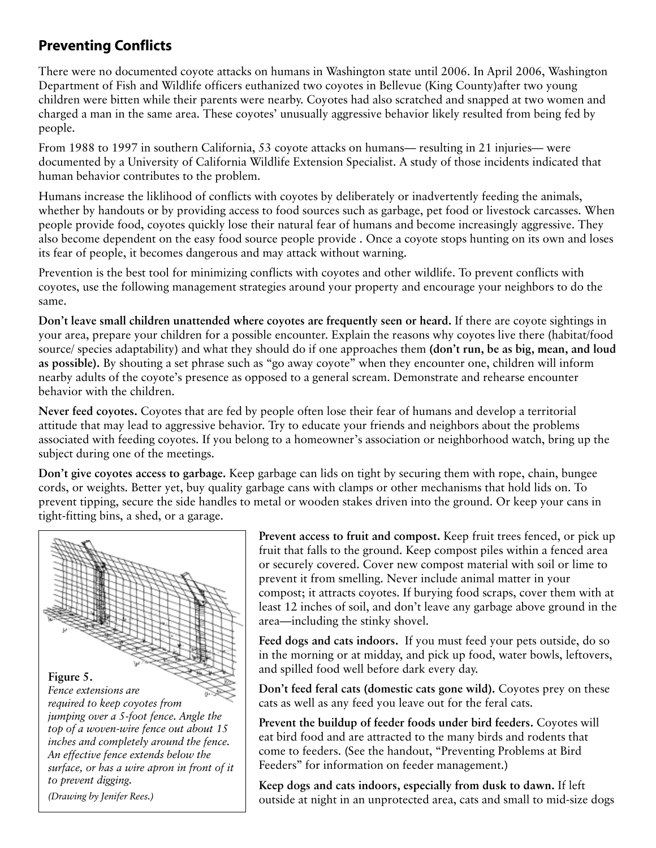## **Preventing Conflicts**

There were no documented coyote attacks on humans in Washington state until 2006. In April 2006, Washington Department of Fish and Wildlife officers euthanized two coyotes in Bellevue (King County)after two young children were bitten while their parents were nearby. Coyotes had also scratched and snapped at two women and charged a man in the same area. These coyotes' unusually aggressive behavior likely resulted from being fed by people.

From 1988 to 1997 in southern California, 53 coyote attacks on humans— resulting in 21 injuries— were documented by a University of California Wildlife Extension Specialist. A study of those incidents indicated that human behavior contributes to the problem.

Humans increase the liklihood of conflicts with coyotes by deliberately or inadvertently feeding the animals, whether by handouts or by providing access to food sources such as garbage, pet food or livestock carcasses. When people provide food, coyotes quickly lose their natural fear of humans and become increasingly aggressive. They also become dependent on the easy food source people provide . Once a coyote stops hunting on its own and loses its fear of people, it becomes dangerous and may attack without warning.

Prevention is the best tool for minimizing conflicts with coyotes and other wildlife. To prevent conflicts with coyotes, use the following management strategies around your property and encourage your neighbors to do the same.

**Don't leave small children unattended where coyotes are frequently seen or heard.** If there are coyote sightings in your area, prepare your children for a possible encounter. Explain the reasons why coyotes live there (habitat/food source/ species adaptability) and what they should do if one approaches them **(don't run, be as big, mean, and loud as possible).** By shouting a set phrase such as "go away coyote" when they encounter one, children will inform nearby adults of the coyote's presence as opposed to a general scream. Demonstrate and rehearse encounter behavior with the children.

**Never feed coyotes.** Coyotes that are fed by people often lose their fear of humans and develop a territorial attitude that may lead to aggressive behavior. Try to educate your friends and neighbors about the problems associated with feeding coyotes. If you belong to a homeowner's association or neighborhood watch, bring up the subject during one of the meetings.

**Don't give coyotes access to garbage.** Keep garbage can lids on tight by securing them with rope, chain, bungee cords, or weights. Better yet, buy quality garbage cans with clamps or other mechanisms that hold lids on. To prevent tipping, secure the side handles to metal or wooden stakes driven into the ground. Or keep your cans in tight-fitting bins, a shed, or a garage.



**Prevent access to fruit and compost.** Keep fruit trees fenced, or pick up fruit that falls to the ground. Keep compost piles within a fenced area or securely covered. Cover new compost material with soil or lime to prevent it from smelling. Never include animal matter in your compost; it attracts coyotes. If burying food scraps, cover them with at least 12 inches of soil, and don't leave any garbage above ground in the area—including the stinky shovel.

**Feed dogs and cats indoors.** If you must feed your pets outside, do so in the morning or at midday, and pick up food, water bowls, leftovers, and spilled food well before dark every day.

**Don't feed feral cats (domestic cats gone wild).** Coyotes prey on these cats as well as any feed you leave out for the feral cats.

**Prevent the buildup of feeder foods under bird feeders.** Coyotes will eat bird food and are attracted to the many birds and rodents that come to feeders. (See the handout, "Preventing Problems at Bird Feeders" for information on feeder management.)

**Keep dogs and cats indoors, especially from dusk to dawn.** If left outside at night in an unprotected area, cats and small to mid-size dogs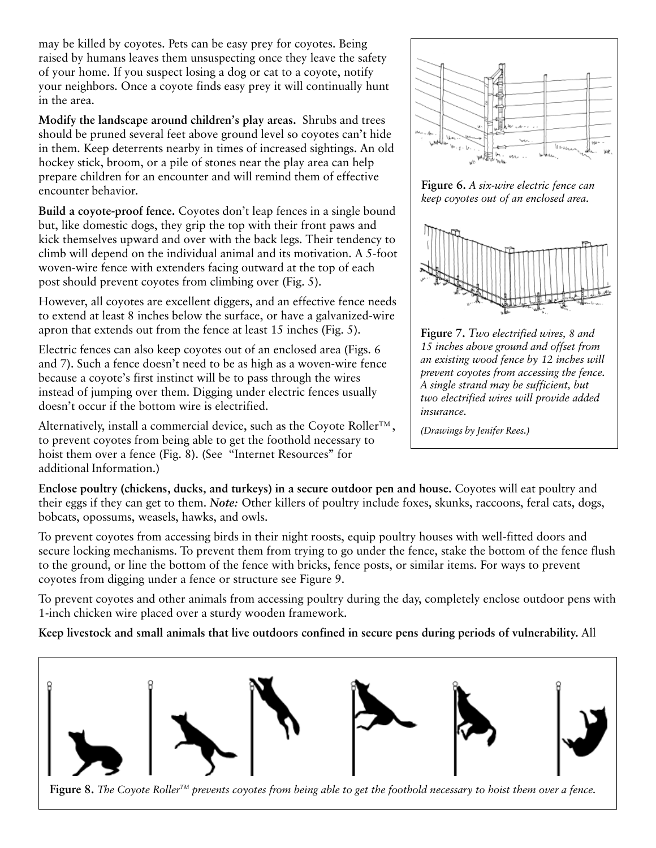may be killed by coyotes. Pets can be easy prey for coyotes. Being raised by humans leaves them unsuspecting once they leave the safety of your home. If you suspect losing a dog or cat to a coyote, notify your neighbors. Once a coyote finds easy prey it will continually hunt in the area.

**Modify the landscape around children's play areas.** Shrubs and trees should be pruned several feet above ground level so coyotes can't hide in them. Keep deterrents nearby in times of increased sightings. An old hockey stick, broom, or a pile of stones near the play area can help prepare children for an encounter and will remind them of effective encounter behavior.

**Build a coyote-proof fence.** Coyotes don't leap fences in a single bound but, like domestic dogs, they grip the top with their front paws and kick themselves upward and over with the back legs. Their tendency to climb will depend on the individual animal and its motivation. A 5-foot woven-wire fence with extenders facing outward at the top of each post should prevent coyotes from climbing over (Fig. 5).

However, all coyotes are excellent diggers, and an effective fence needs to extend at least 8 inches below the surface, or have a galvanized-wire apron that extends out from the fence at least 15 inches (Fig. 5).

Electric fences can also keep coyotes out of an enclosed area (Figs. 6 and 7). Such a fence doesn't need to be as high as a woven-wire fence because a coyote's first instinct will be to pass through the wires instead of jumping over them. Digging under electric fences usually doesn't occur if the bottom wire is electrified.

Alternatively, install a commercial device, such as the Coyote Roller<sup>TM</sup>, to prevent coyotes from being able to get the foothold necessary to hoist them over a fence (Fig. 8). (See "Internet Resources" for additional Information.)



**Figure 6.** *A six-wire electric fence can keep coyotes out of an enclosed area.*





*(Drawings by Jenifer Rees.)*

**Enclose poultry (chickens, ducks, and turkeys) in a secure outdoor pen and house.** Coyotes will eat poultry and their eggs if they can get to them. *Note:* Other killers of poultry include foxes, skunks, raccoons, feral cats, dogs, bobcats, opossums, weasels, hawks, and owls.

To prevent coyotes from accessing birds in their night roosts, equip poultry houses with well-fitted doors and secure locking mechanisms. To prevent them from trying to go under the fence, stake the bottom of the fence flush to the ground, or line the bottom of the fence with bricks, fence posts, or similar items. For ways to prevent coyotes from digging under a fence or structure see Figure 9.

To prevent coyotes and other animals from accessing poultry during the day, completely enclose outdoor pens with 1-inch chicken wire placed over a sturdy wooden framework.

#### **Keep livestock and small animals that live outdoors confined in secure pens during periods of vulnerability.** All



**Figure 8.** *The Coyote RollerTM prevents coyotes from being able to get the foothold necessary to hoist them over a fence.*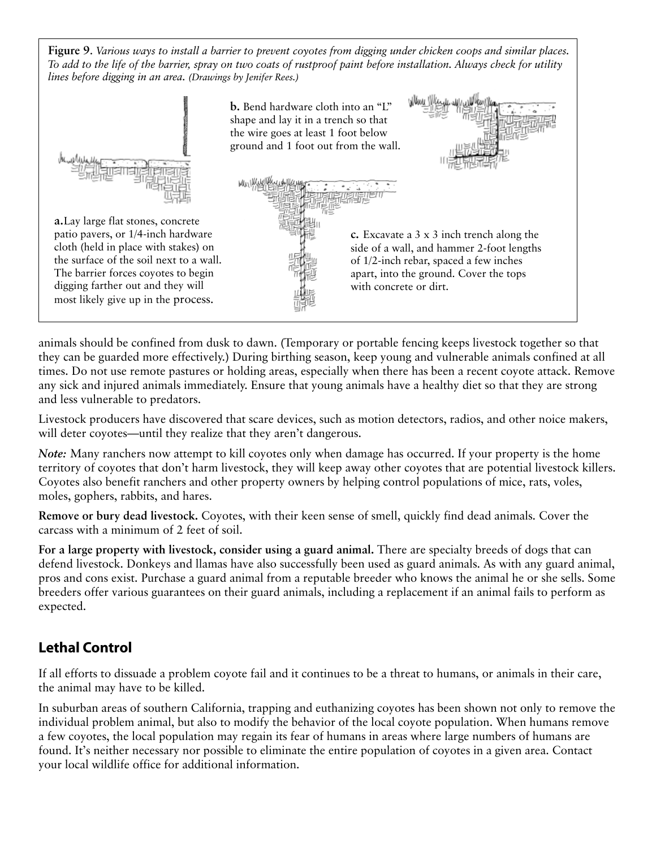**Figure 9**. *Various ways to install a barrier to prevent coyotes from digging under chicken coops and similar places. To add to the life of the barrier, spray on two coats of rustproof paint before installation. Always check for utility lines before digging in an area. (Drawings by Jenifer Rees.)*



animals should be confined from dusk to dawn. (Temporary or portable fencing keeps livestock together so that they can be guarded more effectively.) During birthing season, keep young and vulnerable animals confined at all times. Do not use remote pastures or holding areas, especially when there has been a recent coyote attack. Remove any sick and injured animals immediately. Ensure that young animals have a healthy diet so that they are strong and less vulnerable to predators.

Livestock producers have discovered that scare devices, such as motion detectors, radios, and other noice makers, will deter coyotes—until they realize that they aren't dangerous.

*Note:* Many ranchers now attempt to kill coyotes only when damage has occurred. If your property is the home territory of coyotes that don't harm livestock, they will keep away other coyotes that are potential livestock killers. Coyotes also benefit ranchers and other property owners by helping control populations of mice, rats, voles, moles, gophers, rabbits, and hares.

**Remove or bury dead livestock.** Coyotes, with their keen sense of smell, quickly find dead animals. Cover the carcass with a minimum of 2 feet of soil.

**For a large property with livestock, consider using a guard animal.** There are specialty breeds of dogs that can defend livestock. Donkeys and llamas have also successfully been used as guard animals. As with any guard animal, pros and cons exist. Purchase a guard animal from a reputable breeder who knows the animal he or she sells. Some breeders offer various guarantees on their guard animals, including a replacement if an animal fails to perform as expected.

### **Lethal Control**

If all efforts to dissuade a problem coyote fail and it continues to be a threat to humans, or animals in their care, the animal may have to be killed.

In suburban areas of southern California, trapping and euthanizing coyotes has been shown not only to remove the individual problem animal, but also to modify the behavior of the local coyote population. When humans remove a few coyotes, the local population may regain its fear of humans in areas where large numbers of humans are found. It's neither necessary nor possible to eliminate the entire population of coyotes in a given area. Contact your local wildlife office for additional information.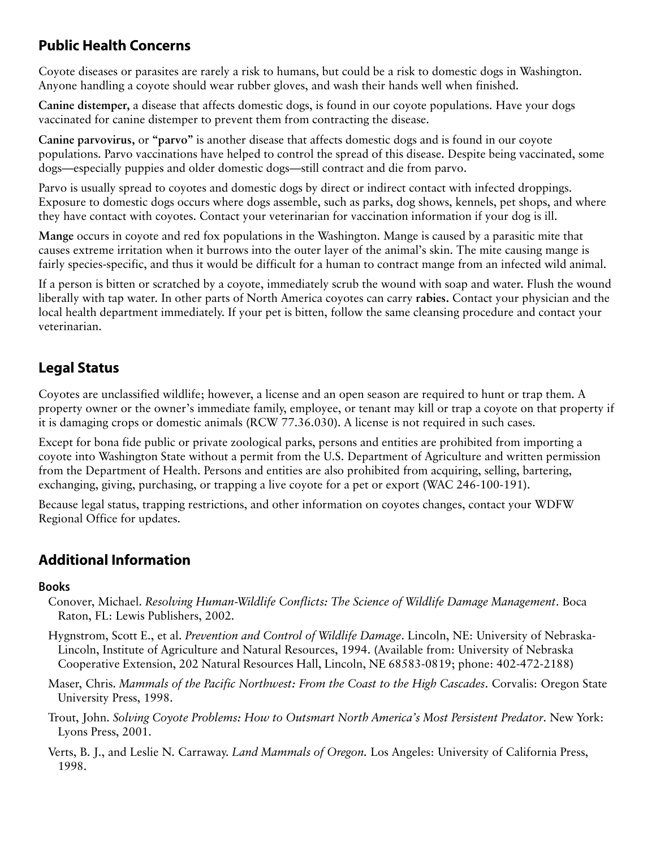## **Public Health Concerns**

Coyote diseases or parasites are rarely a risk to humans, but could be a risk to domestic dogs in Washington. Anyone handling a coyote should wear rubber gloves, and wash their hands well when finished.

**Canine distemper,** a disease that affects domestic dogs, is found in our coyote populations. Have your dogs vaccinated for canine distemper to prevent them from contracting the disease.

**Canine parvovirus,** or **"parvo"** is another disease that affects domestic dogs and is found in our coyote populations. Parvo vaccinations have helped to control the spread of this disease. Despite being vaccinated, some dogs—especially puppies and older domestic dogs—still contract and die from parvo.

Parvo is usually spread to coyotes and domestic dogs by direct or indirect contact with infected droppings. Exposure to domestic dogs occurs where dogs assemble, such as parks, dog shows, kennels, pet shops, and where they have contact with coyotes. Contact your veterinarian for vaccination information if your dog is ill.

**Mange** occurs in coyote and red fox populations in the Washington. Mange is caused by a parasitic mite that causes extreme irritation when it burrows into the outer layer of the animal's skin. The mite causing mange is fairly species-specific, and thus it would be difficult for a human to contract mange from an infected wild animal.

If a person is bitten or scratched by a coyote, immediately scrub the wound with soap and water. Flush the wound liberally with tap water. In other parts of North America coyotes can carry **rabies.** Contact your physician and the local health department immediately. If your pet is bitten, follow the same cleansing procedure and contact your veterinarian.

## **Legal Status**

Coyotes are unclassified wildlife; however, a license and an open season are required to hunt or trap them. A property owner or the owner's immediate family, employee, or tenant may kill or trap a coyote on that property if it is damaging crops or domestic animals (RCW 77.36.030). A license is not required in such cases.

Except for bona fide public or private zoological parks, persons and entities are prohibited from importing a coyote into Washington State without a permit from the U.S. Department of Agriculture and written permission from the Department of Health. Persons and entities are also prohibited from acquiring, selling, bartering, exchanging, giving, purchasing, or trapping a live coyote for a pet or export (WAC 246-100-191).

Because legal status, trapping restrictions, and other information on coyotes changes, contact your WDFW Regional Office for updates.

## **Additional Information**

#### **Books**

- Conover, Michael. *Resolving Human-Wildlife Conflicts: The Science of Wildlife Damage Management*. Boca Raton, FL: Lewis Publishers, 2002.
- Hygnstrom, Scott E., et al. *Prevention and Control of Wildlife Damage*. Lincoln, NE: University of Nebraska-Lincoln, Institute of Agriculture and Natural Resources, 1994. (Available from: University of Nebraska Cooperative Extension, 202 Natural Resources Hall, Lincoln, NE 68583-0819; phone: 402-472-2188)
- Maser, Chris. *Mammals of the Pacific Northwest: From the Coast to the High Cascades*. Corvalis: Oregon State University Press, 1998.
- Trout, John. *Solving Coyote Problems: How to Outsmart North America's Most Persistent Predator*. New York: Lyons Press, 2001.
- Verts, B. J., and Leslie N. Carraway. *Land Mammals of Oregon.* Los Angeles: University of California Press, 1998.